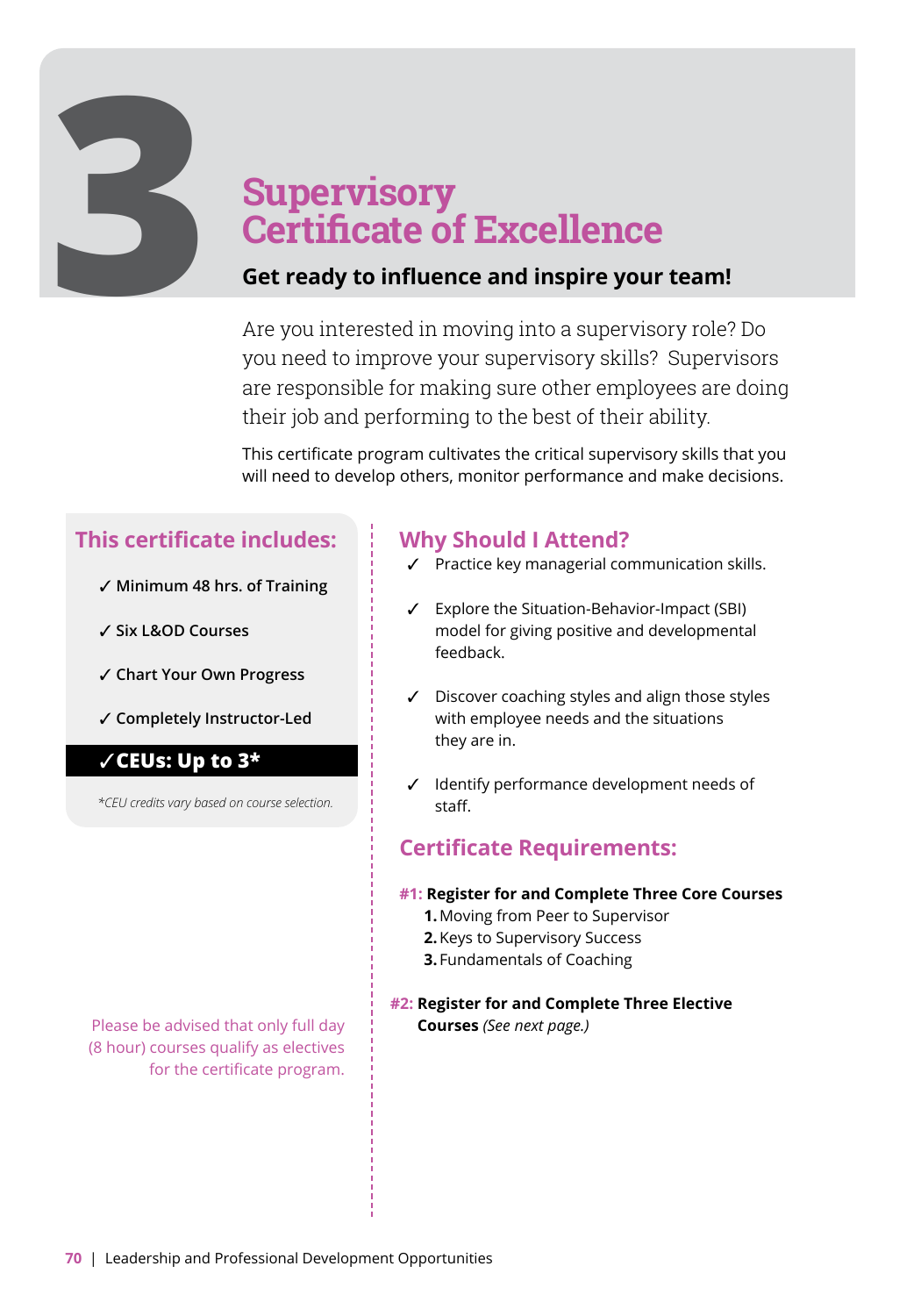# **Supervisory Certificate of Excellence**<br>**3 <b>Get ready to influence and inspire your team!**<br>Are you interested in moving into a supervisory role?

Are you interested in moving into a supervisory role? Do you need to improve your supervisory skills? Supervisors are responsible for making sure other employees are doing their job and performing to the best of their ability.

This certificate program cultivates the critical supervisory skills that you will need to develop others, monitor performance and make decisions.

### **This certificate includes:**

- ✓ **Minimum 48 hrs. of Training**
- ✓ **Six L&OD Courses**
- ✓ **Chart Your Own Progress**
- ✓ **Completely Instructor-Led**

#### ✓**CEUs: Up to 3\***

*\*CEU credits vary based on course selection.* 

Please be advised that only full day (8 hour) courses qualify as electives for the certificate program.

### **Why Should I Attend?**

- ✓ Practice key managerial communication skills.
- ✓ Explore the Situation-Behavior-Impact (SBI) model for giving positive and developmental feedback.
- ✓ Discover coaching styles and align those styles with employee needs and the situations they are in.
- ✓ Identify performance development needs of staff.

#### **Certificate Requirements:**

- **#1: Register for and Complete Three Core Courses**
	- **1.** Moving from Peer to Supervisor
	- **2.** Keys to Supervisory Success
	- **3.** Fundamentals of Coaching
- **#2: Register for and Complete Three Elective Courses** *(See next page.)*